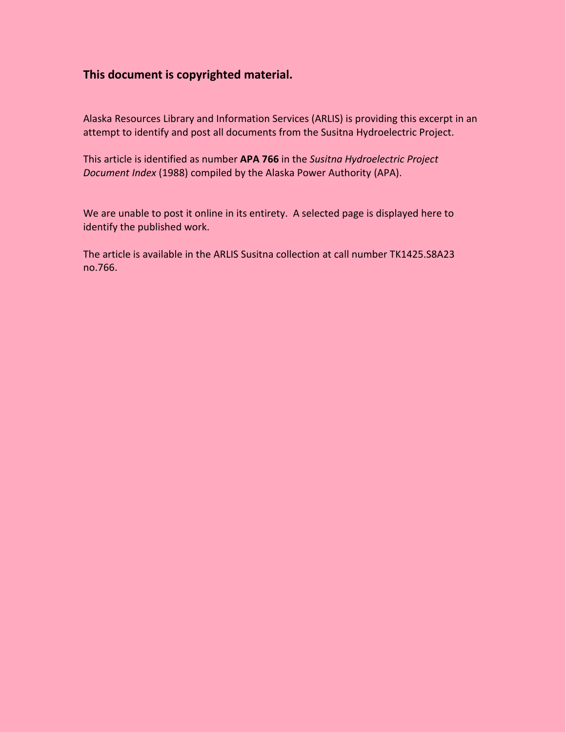## **This document is copyrighted material.**

Alaska Resources Library and Information Services (ARLIS) is providing this excerpt in an attempt to identify and post all documents from the Susitna Hydroelectric Project.

This article is identified as number **APA 766** in the *Susitna Hydroelectric Project Document Index* (1988) compiled by the Alaska Power Authority (APA).

We are unable to post it online in its entirety. A selected page is displayed here to identify the published work.

The article is available in the ARLIS Susitna collection at call number TK1425.S8A23 no.766.